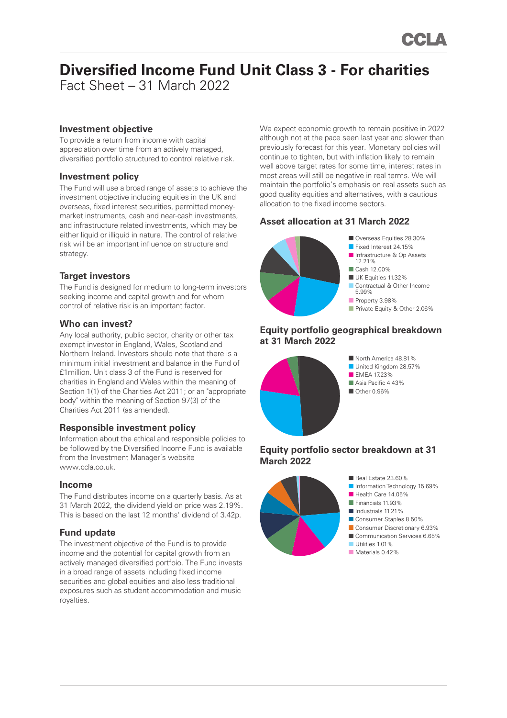# **Diversified Income Fund Unit Class 3 - For charities**

Fact Sheet – 31 March 2022

# **Investment objective**

To provide a return from income with capital appreciation over time from an actively managed, diversified portfolio structured to control relative risk.

## **Investment policy**

The Fund will use a broad range of assets to achieve the investment objective including equities in the UK and overseas, fixed interest securities, permitted moneymarket instruments, cash and near-cash investments, and infrastructure related investments, which may be either liquid or illiquid in nature. The control of relative risk will be an important influence on structure and strategy.

# **Target investors**

The Fund is designed for medium to long-term investors seeking income and capital growth and for whom control of relative risk is an important factor.

## **Who can invest?**

Any local authority, public sector, charity or other tax exempt investor in England, Wales, Scotland and Northern Ireland. Investors should note that there is a minimum initial investment and balance in the Fund of £1million. Unit class 3 of the Fund is reserved for charities in England and Wales within the meaning of Section 1(1) of the Charities Act 2011; or an "appropriate body" within the meaning of Section 97(3) of the Charities Act 2011 (as amended).

## **Responsible investment policy**

Information about the ethical and responsible policies to be followed by the Diversified Income Fund is available from the Investment Manager's website www.ccla.co.uk.

## **Income**

The Fund distributes income on a quarterly basis. As at 31 March 2022, the dividend yield on price was 2.19%. This is based on the last 12 months' dividend of 3.42p.

# **Fund update**

The investment objective of the Fund is to provide income and the potential for capital growth from an actively managed diversified portfoio. The Fund invests in a broad range of assets including fixed income securities and global equities and also less traditional exposures such as student accommodation and music royalties.

We expect economic growth to remain positive in 2022 although not at the pace seen last year and slower than previously forecast for this year. Monetary policies will continue to tighten, but with inflation likely to remain well above target rates for some time, interest rates in most areas will still be negative in real terms. We will maintain the portfolio's emphasis on real assets such as good quality equities and alternatives, with a cautious allocation to the fixed income sectors.

# **Asset allocation at 31 March 2022**



# **Equity portfolio geographical breakdown at 31 March 2022**



■ North America 48.81% ■ United Kingdom 28.57% **EMEA 1723%** ■ Asia Pacific 4 43% ■ Other 0.96%

## **Equity portfolio sector breakdown at 31 March 2022**